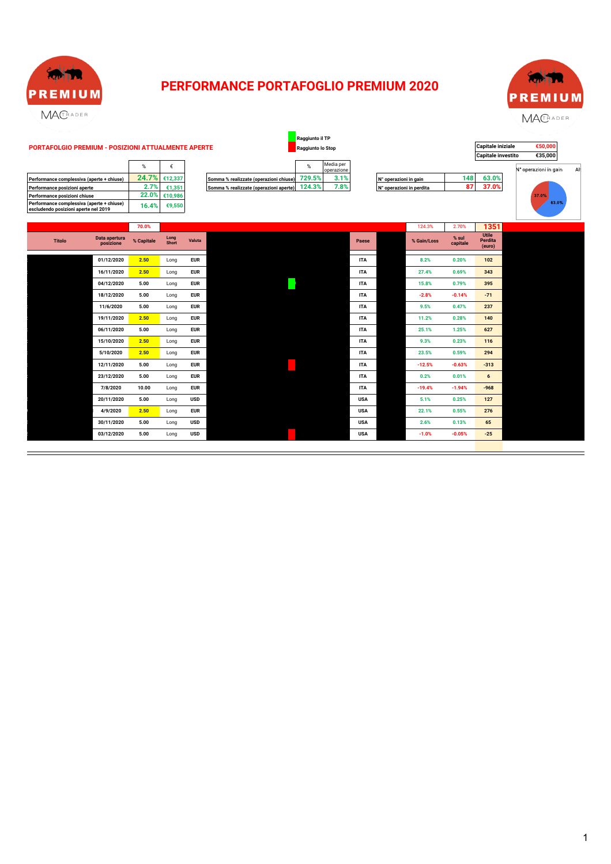

### **PERFORMANCE PORTAFOGLIO PREMIUM 2020**



|                                                                                   | %     |         |
|-----------------------------------------------------------------------------------|-------|---------|
| Performance complessiva (aperte + chiuse)                                         | 24.7% | €12,337 |
| Performance posizioni aperte                                                      | 2.7%  | €1.351  |
| Performance posizioni chiuse                                                      | 22.0% | €10.986 |
| Performance complessiva (aperte + chiuse)<br>escludendo posizioni aperte nel 2019 | 16.4% | €9,550  |

| ℅      |                           |                                        | %      | Media per<br>operazione |
|--------|---------------------------|----------------------------------------|--------|-------------------------|
|        | $4.7\%$ $\epsilon$ 12.337 | Somma % realizzate (operazioni chiuse) | 729.5% | 3.1%                    |
| 2.7%   | €1.351                    | Somma % realizzate (operazioni aperte) | 124.3% | 7.8%                    |
| יסה הנ |                           |                                        |        |                         |

|                                                                                   |                            |            |               |            |                                        | Raggiunto il TP   |                         |            |                          |             |                   |                                   |                       |     |
|-----------------------------------------------------------------------------------|----------------------------|------------|---------------|------------|----------------------------------------|-------------------|-------------------------|------------|--------------------------|-------------|-------------------|-----------------------------------|-----------------------|-----|
| PORTAFOLGIO PREMIUM - POSIZIONI ATTUALMENTE APERTE                                |                            |            |               |            |                                        | Raggiunto lo Stop |                         |            |                          |             |                   | Capitale iniziale                 | €50,000               |     |
|                                                                                   |                            |            |               |            |                                        |                   |                         |            |                          |             |                   | <b>Capitale investito</b>         | €35,000               |     |
|                                                                                   |                            | %          |               |            |                                        | %                 | Media per<br>operazione |            |                          |             |                   |                                   | N° operazioni in gain | Alt |
| Performance complessiva (aperte + chiuse)                                         |                            | 24.7%      | €12,337       |            | Somma % realizzate (operazioni chiuse) | 729.5%            | 3.1%                    |            | N° operazioni in gain    |             | 148               | 63.0%                             |                       |     |
| Performance posizioni aperte                                                      |                            | 2.7%       | €1,351        |            | Somma % realizzate (operazioni aperte) | 124.3%            | 7.8%                    |            | N° operazioni in perdita |             | 87                | 37.0%                             |                       |     |
| Performance posizioni chiuse                                                      |                            | 22.0%      | €10,986       |            |                                        |                   |                         |            |                          |             |                   |                                   | 37.0%                 |     |
| Performance complessiva (aperte + chiuse)<br>escludendo posizioni aperte nel 2019 |                            | 16.4%      | €9,550        |            |                                        |                   |                         |            |                          |             |                   |                                   | 63.0%                 |     |
|                                                                                   |                            |            |               |            |                                        |                   |                         |            |                          |             |                   |                                   |                       |     |
|                                                                                   |                            | 70.0%      |               |            |                                        |                   |                         |            |                          | 124.3%      | 2.70%             | 1351                              |                       |     |
| <b>Titolo</b>                                                                     | Data apertura<br>posizione | % Capitale | Long<br>Short | Valuta     |                                        |                   |                         | Paese      |                          | % Gain/Loss | % sul<br>capitale | <b>Utile</b><br>Perdita<br>(euro) |                       |     |
|                                                                                   | 01/12/2020                 | 2.50       | Long          | <b>EUR</b> |                                        |                   |                         | <b>ITA</b> |                          | 8.2%        | 0.20%             | 102                               |                       |     |
|                                                                                   |                            |            |               |            |                                        |                   |                         |            |                          |             |                   |                                   |                       |     |

| <b>Titolo</b> | Data apertura<br>posizione | % Capitale | Long<br>Short | Valuta     | Paese      | % Gain/Loss | % sul<br>capitale | Utile<br>Perdita<br>(euro) |
|---------------|----------------------------|------------|---------------|------------|------------|-------------|-------------------|----------------------------|
|               | 01/12/2020                 | 2.50       | Long          | <b>EUR</b> | <b>ITA</b> | 8.2%        | 0.20%             | 102                        |
|               | 16/11/2020                 | 2.50       | Long          | <b>EUR</b> | <b>ITA</b> | 27.4%       | 0.69%             | 343                        |
|               | 04/12/2020                 | 5.00       | Long          | <b>EUR</b> | <b>ITA</b> | 15.8%       | 0.79%             | 395                        |
|               | 18/12/2020                 | 5.00       | Long          | <b>EUR</b> | <b>ITA</b> | $-2.8%$     | $-0.14%$          | $-71$                      |
|               | 11/6/2020                  | 5.00       | Long          | <b>EUR</b> | <b>ITA</b> | 9.5%        | 0.47%             | 237                        |
|               | 19/11/2020                 | 2.50       | Long          | <b>EUR</b> | <b>ITA</b> | 11.2%       | 0.28%             | 140                        |
|               | 06/11/2020                 | 5.00       | Long          | <b>EUR</b> | <b>ITA</b> | 25.1%       | 1.25%             | 627                        |
|               | 15/10/2020                 | 2.50       | Long          | <b>EUR</b> | <b>ITA</b> | 9.3%        | 0.23%             | 116                        |
|               | 5/10/2020                  | 2.50       | Long          | <b>EUR</b> | <b>ITA</b> | 23.5%       | 0.59%             | 294                        |
|               | 12/11/2020                 | 5.00       | Long          | <b>EUR</b> | <b>ITA</b> | $-12.5%$    | $-0.63%$          | $-313$                     |
|               | 23/12/2020                 | 5.00       | Long          | <b>EUR</b> | <b>ITA</b> | 0.2%        | 0.01%             | 6                          |
|               | 7/8/2020                   | 10.00      | Long          | <b>EUR</b> | <b>ITA</b> | $-19.4%$    | $-1.94%$          | $-968$                     |
|               | 20/11/2020                 | 5.00       | Long          | <b>USD</b> | <b>USA</b> | 5.1%        | 0.25%             | 127                        |
|               | 4/9/2020                   | 2.50       | Long          | <b>EUR</b> | <b>USA</b> | 22.1%       | 0.55%             | 276                        |
|               | 30/11/2020                 | 5.00       | Long          | <b>USD</b> | <b>USA</b> | 2.6%        | 0.13%             | 65                         |
|               | 03/12/2020                 | 5.00       | Long          | <b>USD</b> | <b>USA</b> | $-1.0%$     | $-0.05%$          | $-25$                      |
|               |                            |            |               |            |            |             |                   |                            |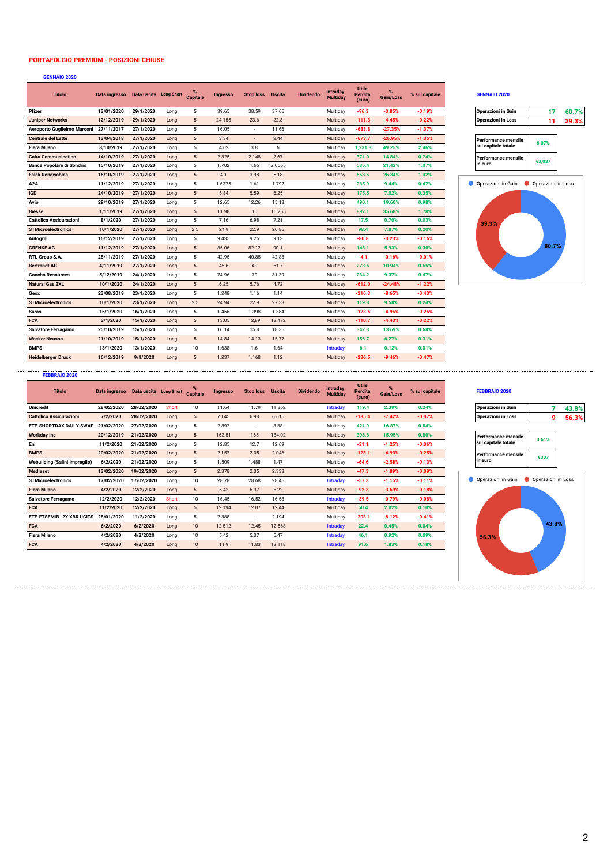### **PORTAFOLGIO PREMIUM - POSIZIONI CHIUSE**

### **GENNAIO 2020**

| <b>Titolo</b>                          | Data ingresso  Data uscita  Long Short |           |      | <b>Capitale</b> | <b>Ingresso</b> | <b>Stop loss</b> | <b>Uscita</b> | <b>Dividendo</b> | Intraday<br><b>Multiday</b> | <b>Utile</b><br>Perdita<br>(euro) | $\frac{9}{6}$<br>Gain/Loss | % sul capitale | <b>GENNAIO 2020</b>        |                    |       |
|----------------------------------------|----------------------------------------|-----------|------|-----------------|-----------------|------------------|---------------|------------------|-----------------------------|-----------------------------------|----------------------------|----------------|----------------------------|--------------------|-------|
| Pfizer                                 | 13/01/2020                             | 29/1/2020 | Long | 5               | 39.65           | 38.59            | 37.66         |                  | Multidav                    | $-96.3$                           | $-3.85%$                   | $-0.19%$       | Operazioni in Gain         | 17                 | 60.7% |
| <b>Juniper Networks</b>                | 12/12/2019                             | 29/1/2020 | Long | 5               | 24.155          | 23.6             | 22.8          |                  | Multiday                    | $-111.3$                          | $-4.45%$                   | $-0.22%$       | <b>Operazioni in Loss</b>  | 11                 | 39.3% |
| Aeroporto Guglielmo Marconi 27/11/2017 |                                        | 27/1/2020 | Long | 5               | 16.05           | $\sim$           | 11.66         |                  | Multiday                    | $-683.8$                          | $-27.35%$                  | $-1.37%$       |                            |                    |       |
| <b>Centrale del Latte</b>              | 13/04/2018                             | 27/1/2020 | Long | 5               | 3.34            | $\sim$           | 2.44          |                  | Multiday                    | $-673.7$                          | $-26.95%$                  | $-1.35%$       | <b>Performance mensile</b> | 6.07%              |       |
| <b>Fiera Milano</b>                    | 8/10/2019                              | 27/1/2020 | Long | 5               | 4.02            | 3.8              | 6             |                  | Multiday                    | 1,231.3                           | 49.25%                     | 2.46%          | sul capitale totale        |                    |       |
| <b>Cairo Communication</b>             | 14/10/2019                             | 27/1/2020 | Long | 5               | 2.325           | 2.148            | 2.67          |                  | Multiday                    | 371.0                             | 14.84%                     | 0.74%          | <b>Performance mensile</b> | €3,037             |       |
| <b>Banca Popolare di Sondrio</b>       | 15/10/2019                             | 27/1/2020 | Long | 5               | 1.702           | 1.65             | 2.0665        |                  | Multiday                    | 535.4                             | 21.42%                     | 1.07%          | in euro                    |                    |       |
| <b>Falck Renewables</b>                | 16/10/2019                             | 27/1/2020 | Long | $5\phantom{.0}$ | 4.1             | 3.98             | 5.18          |                  | Multiday                    | 658.5                             | 26.34%                     | 1.32%          |                            |                    |       |
| A <sub>2</sub> A                       | 11/12/2019                             | 27/1/2020 | Long | 5               | 1.6375          | 1.61             | 1.792         |                  | Multiday                    | 235.9                             | 9.44%                      | 0.47%          | Operazioni in Gain         | Operazioni in Loss |       |
| <b>IGD</b>                             | 24/10/2019                             | 27/1/2020 | Long | $5\phantom{.0}$ | 5.84            | 5.59             | 6.25          |                  | Multiday                    | 175.5                             | 7.02%                      | 0.35%          |                            |                    |       |
| Avio                                   | 29/10/2019                             | 27/1/2020 | Long | 5               | 12.65           | 12.26            | 15.13         |                  | Multiday                    | 490.1                             | 19.60%                     | 0.98%          |                            |                    |       |
| <b>Biesse</b>                          | 1/11/2019                              | 27/1/2020 | Long | 5               | 11.98           | 10               | 16.255        |                  | Multiday                    | 892.1                             | 35.68%                     | 1.78%          |                            |                    |       |
| <b>Cattolica Assicurazioni</b>         | 8/1/2020                               | 27/1/2020 | Long | 5               | 7.16            | 6.98             | 7.21          |                  | Multiday                    | 17.5                              | 0.70%                      | 0.03%          | 39.3%                      |                    |       |
| <b>STMicroelectronics</b>              | 10/1/2020                              | 27/1/2020 | Long | 2.5             | 24.9            | 22.9             | 26.86         |                  | Multiday                    | 98.4                              | 7.87%                      | 0.20%          |                            |                    |       |
| Autogrill                              | 16/12/2019                             | 27/1/2020 | Long | 5               | 9.435           | 9.25             | 9.13          |                  | Multiday                    | $-80.8$                           | $-3.23%$                   | $-0.16%$       |                            |                    |       |
| <b>GRENKE AG</b>                       | 11/12/2019                             | 27/1/2020 | Long | 5               | 85.06           | 82.12            | 90.1          |                  | Multiday                    | 148.1                             | 5.93%                      | 0.30%          |                            | 60.7%              |       |
| RTL Group S.A.                         | 25/11/2019                             | 27/1/2020 | Long | 5               | 42.95           | 40.85            | 42.88         |                  | Multiday                    | $-4.1$                            | $-0.16%$                   | $-0.01%$       |                            |                    |       |
| <b>Bertrandt AG</b>                    | 4/11/2019                              | 27/1/2020 | Long | 5               | 46.6            | 40               | 51.7          |                  | Multiday                    | 273.6                             | 10.94%                     | 0.55%          |                            |                    |       |
| <b>Concho Resources</b>                | 5/12/2019                              | 24/1/2020 | Long | 5               | 74.96           | 70               | 81.39         |                  | Multiday                    | 234.2                             | 9.37%                      | 0.47%          |                            |                    |       |
| <b>Natural Gas 2XL</b>                 | 10/1/2020                              | 24/1/2020 | Long | 5               | 6.25            | 5.76             | 4.72          |                  | Multiday                    | $-612.0$                          | $-24.48%$                  | $-1.22%$       |                            |                    |       |
| Geox                                   | 23/08/2019                             | 23/1/2020 | Long | 5               | 1.248           | 1.16             | 1.14          |                  | Multiday                    | $-216.3$                          | $-8.65%$                   | $-0.43%$       |                            |                    |       |
| <b>STMicroelectronics</b>              | 10/1/2020                              | 23/1/2020 | Long | 2.5             | 24.94           | 22.9             | 27.33         |                  | Multiday                    | 119.8                             | 9.58%                      | 0.24%          |                            |                    |       |
| Saras                                  | 15/1/2020                              | 16/1/2020 | Long | 5               | 1.456           | 1.398            | 1.384         |                  | Multiday                    | $-123.6$                          | $-4.95%$                   | $-0.25%$       |                            |                    |       |
| <b>FCA</b>                             | 3/1/2020                               | 15/1/2020 | Long | $5\phantom{.0}$ | 13.05           | 12,89            | 12.472        |                  | Multiday                    | $-110.7$                          | $-4.43%$                   | $-0.22%$       |                            |                    |       |
| Salvatore Ferragamo                    | 25/10/2019                             | 15/1/2020 | Long | 5               | 16.14           | 15.8             | 18.35         |                  | Multiday                    | 342.3                             | 13.69%                     | 0.68%          |                            |                    |       |
| <b>Wacker Neuson</b>                   | 21/10/2019                             | 15/1/2020 | Long | 5               | 14.84           | 14.13            | 15.77         |                  | Multiday                    | 156.7                             | 6.27%                      | 0.31%          |                            |                    |       |
| <b>BMPS</b>                            | 13/1/2020                              | 13/1/2020 | Long | 10              | 1.638           | 1.6              | 1.64          |                  | Intraday                    | 6.1                               | 0.12%                      | 0.01%          |                            |                    |       |
| <b>Heidelberger Druck</b>              | 16/12/2019                             | 9/1/2020  | Long | 5               | 1.237           | 1.168            | 1.12          |                  | Multiday                    | $-236.5$                          | $-9.46%$                   | $-0.47%$       |                            |                    |       |

### **% Gain/Loss % sul capitale GENNAIO 2020**

| 60.7% |
|-------|
| 39.3% |
|       |
|       |



### **FEBBRAIO 2020**

| <b>Titolo</b>                   | Data ingresso  Data uscita  Long Short |            |       | <b>Capitale</b> | <b>Ingresso</b> | <b>Stop loss</b> | <b>Uscita</b> | <b>Dividendo</b> | <b>Intradav</b><br><b>Multiday</b> | <b>Utile</b><br>Perdita<br>(euro) | $\%$<br>Gain/Loss | % sul capitale | <b>FEBBRAIO 2020</b>       |                    |       |
|---------------------------------|----------------------------------------|------------|-------|-----------------|-----------------|------------------|---------------|------------------|------------------------------------|-----------------------------------|-------------------|----------------|----------------------------|--------------------|-------|
| <b>Unicredit</b>                | 28/02/2020                             | 28/02/2020 | Short | 10              | 11.64           | 11.79            | 11.362        |                  | Intraday                           | 119.4                             | 2.39%             | 0.24%          | <b>Operazioni in Gain</b>  |                    | 43.8% |
| <b>Cattolica Assicurazioni</b>  | 7/2/2020                               | 28/02/2020 | Long  | 5               | 7.145           | 6.98             | 6.615         |                  | Multiday                           | $-185.4$                          | $-7.42%$          | $-0.37%$       | <b>Operazioni in Loss</b>  | ٩                  | 56.3% |
| <b>ETF-SHORTDAX DAILY SWAP</b>  | 21/02/2020                             | 27/02/2020 | Long  | 5               | 2.892           | $\sim$           | 3.38          |                  | Multiday                           | 421.9                             | 16.87%            | 0.84%          |                            |                    |       |
| <b>Workday Inc</b>              | 20/12/2019                             | 21/02/2020 | Long  | 5               | 162.51          | 165              | 184.02        |                  | Multiday                           | 398.8                             | 15.95%            | 0.80%          | Performance mensile        | 0.61%              |       |
| Eni                             | 11/2/2020                              | 21/02/2020 | Long  | 5               | 12.85           | 12.7             | 12.69         |                  | Multiday                           | $-31.1$                           | $-1.25%$          | $-0.06%$       | sul capitale totale        |                    |       |
| <b>BMPS</b>                     | 20/02/2020                             | 21/02/2020 | Long  | 5               | 2.152           | 2.05             | 2.046         |                  | Multiday                           | $-123.1$                          | $-4.93%$          | $-0.25%$       | <b>Performance mensile</b> | €307               |       |
| Webuilding (Salini Impregilo)   | 6/2/2020                               | 21/02/2020 | Long  | 5               | 1.509           | 1.488            | 1.47          |                  | Multiday                           | $-64.6$                           | $-2.58%$          | $-0.13%$       | in euro                    |                    |       |
| <b>Mediaset</b>                 | 13/02/2020                             | 19/02/2020 | Long  | 5               | 2.378           | 2.35             | 2.333         |                  | Multiday                           | $-47.3$                           | $-1.89%$          | $-0.09%$       |                            |                    |       |
| <b>STMicroelectronics</b>       | 17/02/2020                             | 17/02/2020 | Long  | 10              | 28.78           | 28.68            | 28.45         |                  | Intradav                           | $-57.3$                           | $-1.15%$          | $-0.11%$       | Operazioni in Gain         | Operazioni in Loss |       |
| <b>Fiera Milano</b>             | 4/2/2020                               | 12/2/2020  | Long  | 5               | 5.42            | 5.37             | 5.22          |                  | Multiday                           | $-92.3$                           | $-3.69%$          | $-0.18%$       |                            |                    |       |
| Salvatore Ferragamo             | 12/2/2020                              | 12/2/2020  | Short | 10              | 16.45           | 16.52            | 16.58         |                  | Intraday                           | $-39.5$                           | $-0.79%$          | $-0.08%$       |                            |                    |       |
| <b>FCA</b>                      | 11/2/2020                              | 12/2/2020  | Long  | 5               | 12.194          | 12.07            | 12.44         |                  | Multiday                           | 50.4                              | 2.02%             | 0.10%          |                            |                    |       |
| <b>ETF-FTSEMIB-2X XBR UCITS</b> | 28/01/2020                             | 11/2/2020  | Long  | 5               | 2.388           | $\sim$           | 2.194         |                  | Multidav                           | $-203.1$                          | $-8.12%$          | $-0.41%$       |                            |                    |       |
| <b>FCA</b>                      | 6/2/2020                               | 6/2/2020   | Long  | 10              | 12.512          | 12.45            | 12.568        |                  | Intraday                           | 22.4                              | 0.45%             | 0.04%          |                            | 43.8%              |       |
| <b>Fiera Milano</b>             | 4/2/2020                               | 4/2/2020   | Long  | 10              | 5.42            | 5.37             | 5.47          |                  | Intraday                           | 46.1                              | 0.92%             | 0.09%          | 56.3%                      |                    |       |
| <b>FCA</b>                      | 4/2/2020                               | 4/2/2020   | Long  | 10              | 11.9            | 11.83            | 12.118        |                  | <b>Intradav</b>                    | 91.6                              | 1.83%             | 0.18%          |                            |                    |       |
|                                 |                                        |            |       |                 |                 |                  |               |                  |                                    |                                   |                   |                |                            |                    |       |

### **% Gain/Loss % sul capitale FEBBRAIO 2020**



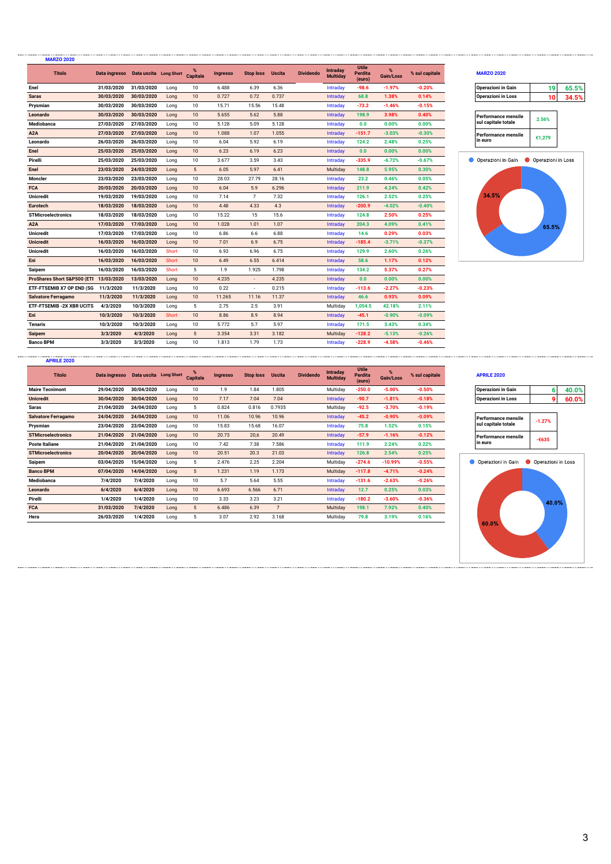| <b>MARZO 2020</b>                      |                                      |            |              |                  |                 |                          |               |                  |                      |                                   |                   |                |                            |                    |       |
|----------------------------------------|--------------------------------------|------------|--------------|------------------|-----------------|--------------------------|---------------|------------------|----------------------|-----------------------------------|-------------------|----------------|----------------------------|--------------------|-------|
| <b>Titolo</b>                          | Data ingresso Data uscita Long Short |            |              | $\%$<br>Capitale | <b>Ingresso</b> | <b>Stop loss</b>         | <b>Uscita</b> | <b>Dividendo</b> | Intraday<br>Multiday | <b>Utile</b><br>Perdita<br>(euro) | $\%$<br>Gain/Loss | % sul capitale | <b>MARZO 2020</b>          |                    |       |
| Enel                                   | 31/03/2020                           | 31/03/2020 | Long         | 10               | 6.488           | 6.39                     | 6.36          |                  | Intraday             | $-98.6$                           | $-1.97%$          | $-0.20%$       | <b>Operazioni in Gain</b>  | 19                 | 65.5% |
| <b>Saras</b>                           | 30/03/2020                           | 30/03/2020 | Long         | 10               | 0.727           | 0.72                     | 0.737         |                  | Intraday             | 68.8                              | 1.38%             | 0.14%          | <b>Operazioni in Loss</b>  | 10                 | 34.5% |
| Prysmian                               | 30/03/2020                           | 30/03/2020 | Long         | 10               | 15.71           | 15.56                    | 15.48         |                  | Intraday             | $-73.2$                           | $-1.46%$          | $-0.15%$       |                            |                    |       |
| Leonardo                               | 30/03/2020                           | 30/03/2020 | Long         | 10               | 5.655           | 5.62                     | 5.88          |                  | Intraday             | 198.9                             | 3.98%             | 0.40%          | <b>Performance mensile</b> | 2.56%              |       |
| Mediobanca                             | 27/03/2020                           | 27/03/2020 | Long         | 10               | 5.128           | 5.09                     | 5.128         |                  | Intraday             | 0.0                               | 0.00%             | 0.00%          | sul capitale totale        |                    |       |
| A <sub>2</sub> A                       | 27/03/2020                           | 27/03/2020 | Long         | 10               | 1.088           | 1.07                     | 1.055         |                  | Intraday             | $-151.7$                          | $-3.03%$          | $-0.30%$       | <b>Performance mensile</b> | €1,279             |       |
| Leonardo                               | 26/03/2020                           | 26/03/2020 | Long         | 10               | 6.04            | 5.92                     | 6.19          |                  | Intraday             | 124.2                             | 2.48%             | 0.25%          | in euro                    |                    |       |
| Enel                                   | 25/03/2020                           | 25/03/2020 | Long         | 10               | 6.23            | 6.19                     | 6.23          |                  | Intraday             | 0.0                               | 0.00%             | 0.00%          |                            |                    |       |
| Pirelli                                | 25/03/2020                           | 25/03/2020 | Long         | 10               | 3.677           | 3.59                     | 3.43          |                  | Intraday             | $-335.9$                          | $-6.72%$          | $-0.67%$       | Operazioni in Gain         | Operazioni in Loss |       |
| Enel                                   | 23/03/2020                           | 24/03/2020 | Long         | $5\phantom{.0}$  | 6.05            | 5.97                     | 6.41          |                  | Multiday             | 148.8                             | 5.95%             | 0.30%          |                            |                    |       |
| Moncler                                | 23/03/2020                           | 23/03/2020 | Long         | 10               | 28.03           | 27.79                    | 28.16         |                  | Intraday             | 23.2                              | 0.46%             | 0.05%          |                            |                    |       |
| <b>FCA</b>                             | 20/03/2020                           | 20/03/2020 | Long         | 10               | 6.04            | 5.9                      | 6.296         |                  | Intraday             | 211.9                             | 4.24%             | 0.42%          |                            |                    |       |
| <b>Unicredit</b>                       | 19/03/2020                           | 19/03/2020 | Long         | 10               | 7.14            | $\overline{7}$           | 7.32          |                  | Intraday             | 126.1                             | 2.52%             | 0.25%          | 34.5%                      |                    |       |
| <b>Eurotech</b>                        | 18/03/2020                           | 18/03/2020 | Long         | 10               | 4.48            | 4.33                     | 4.3           |                  | Intraday             | $-200.9$                          | $-4.02%$          | $-0.40%$       |                            |                    |       |
| <b>STMicroelectronics</b>              | 18/03/2020                           | 18/03/2020 | Long         | 10               | 15.22           | 15                       | 15.6          |                  | Intraday             | 124.8                             | 2.50%             | 0.25%          |                            |                    |       |
| A <sub>2</sub> A                       | 17/03/2020                           | 17/03/2020 | Long         | 10               | 1.028           | 1.01                     | 1.07          |                  | Intraday             | 204.3                             | 4.09%             | 0.41%          |                            | 65.5%              |       |
| <b>Unicredit</b>                       | 17/03/2020                           | 17/03/2020 | Long         | 10               | 6.86            | 6.6                      | 6.88          |                  | Intraday             | 14.6                              | 0.29%             | 0.03%          |                            |                    |       |
| <b>Unicredit</b>                       | 16/03/2020                           | 16/03/2020 | Long         | 10               | 7.01            | 6.9                      | 6.75          |                  | Intraday             | $-185.4$                          | $-3.71%$          | $-0.37%$       |                            |                    |       |
| <b>Unicredit</b>                       | 16/03/2020                           | 16/03/2020 | Short        | 10               | 6.93            | 6.96                     | 6.75          |                  | Intraday             | 129.9                             | 2.60%             | 0.26%          |                            |                    |       |
| Eni                                    | 16/03/2020                           | 16/03/2020 | <b>Short</b> | 10               | 6.49            | 6.55                     | 6.414         |                  | Intraday             | 58.6                              | 1.17%             | 0.12%          |                            |                    |       |
| Saipem                                 | 16/03/2020                           | 16/03/2020 | Short        | 5                | 1.9             | 1.925                    | 1.798         |                  | Intraday             | 134.2                             | 5.37%             | 0.27%          |                            |                    |       |
| ProShares Short S&P500 (ETI 13/03/2020 |                                      | 13/03/2020 | Long         | 10               | 4.235           | $\overline{\phantom{a}}$ | 4.235         |                  | Intraday             | 0.0                               | 0.00%             | 0.00%          |                            |                    |       |
| ETF-FTSEMIB X7 OP END (SG 11/3/2020    |                                      | 11/3/2020  | Long         | 10               | 0.22            | $\overline{\phantom{a}}$ | 0.215         |                  | Intraday             | $-113.6$                          | $-2.27%$          | $-0.23%$       |                            |                    |       |
| <b>Salvatore Ferragamo</b>             | 11/3/2020                            | 11/3/2020  | Long         | 10               | 11.265          | 11.16                    | 11.37         |                  | Intraday             | 46.6                              | 0.93%             | 0.09%          |                            |                    |       |
| <b>ETF-FTSEMIB - 2X XBR UCITS</b>      | 4/3/2020                             | 10/3/2020  | Long         | 5                | 2.75            | 2.5                      | 3.91          |                  | Multiday             | 1,054.5                           | 42.18%            | 2.11%          |                            |                    |       |
| Eni                                    | 10/3/2020                            | 10/3/2020  | <b>Short</b> | 10               | 8.86            | 8.9                      | 8.94          |                  | Intraday             | $-45.1$                           | $-0.90%$          | $-0.09%$       |                            |                    |       |
| <b>Tenaris</b>                         | 10/3/2020                            | 10/3/2020  | Long         | 10               | 5.772           | 5.7                      | 5.97          |                  | Intraday             | 171.5                             | 3.43%             | 0.34%          |                            |                    |       |
| <b>Saipem</b>                          | 3/3/2020                             | 4/3/2020   | Long         | 5                | 3.354           | 3.31                     | 3.182         |                  | Multiday             | $-128.2$                          | $-5.13%$          | $-0.26%$       |                            |                    |       |
| <b>Banco BPM</b>                       | 3/3/2020                             | 3/3/2020   | Long         | 10               | 1.813           | 1.79                     | 1.73          |                  | Intraday             | $-228.9$                          | $-4.58%$          | $-0.46%$       |                            |                    |       |
|                                        |                                      |            |              |                  |                 |                          |               |                  |                      |                                   |                   |                |                            |                    |       |

### **% Gain/Loss % sul capitale MARZO 2020**

| <b>Operazioni in Gain</b> | 65 5 |
|---------------------------|------|
| <b>Operazioni in Loss</b> |      |
|                           |      |

| Performance mensile<br>sul capitale totale | 2.56%  |
|--------------------------------------------|--------|
| Performance mensile<br>n euro              | €1.279 |



| <b>Titolo</b>              | Data ingresso  Data uscita  Long Short |            |      | <b>Capitale</b> | Ingresso | Stop loss | <b>Uscita</b> | <b>Dividendo</b> | Intraday<br><b>Multiday</b> | Utile<br>Perdita<br>(euro) | Gain/Loss | % sul capitale | <b>APRILE 2020</b>        |                    |       |
|----------------------------|----------------------------------------|------------|------|-----------------|----------|-----------|---------------|------------------|-----------------------------|----------------------------|-----------|----------------|---------------------------|--------------------|-------|
| <b>Maire Tecnimont</b>     | 29/04/2020                             | 30/04/2020 | Long | 10              | 1.9      | 1.84      | 1.805         |                  | Multiday                    | $-250.0$                   | $-5.00%$  | $-0.50%$       | Operazioni in Gain        | 61                 | 40.0% |
| <b>Unicredit</b>           | 30/04/2020                             | 30/04/2020 | Long | 10              | 7.17     | 7.04      | 7.04          |                  | Intraday                    | $-90.7$                    | $-1.81%$  | $-0.18%$       | <b>Operazioni in Loss</b> | 9.                 | 60.0% |
| Saras                      | 21/04/2020                             | 24/04/2020 | Long | 5               | 0.824    | 0.816     | 0.7935        |                  | Multiday                    | $-92.5$                    | $-3.70%$  | $-0.19%$       |                           |                    |       |
| <b>Salvatore Ferragamo</b> | 24/04/2020                             | 24/04/2020 | Long | 10              | 11.06    | 10.96     | 10.96         |                  | <b>Intraday</b>             | $-45.2$                    | $-0.90%$  | $-0.09%$       | Performance mensile       | $-1.27%$           |       |
| Prysmian                   | 23/04/2020                             | 23/04/2020 | Long | 10              | 15.83    | 15.68     | 16.07         |                  | Intraday                    | 75.8                       | 1.52%     | 0.15%          | sul capitale totale       |                    |       |
| <b>STMicroelectronics</b>  | 21/04/2020                             | 21/04/2020 | Long | 10              | 20.73    | 20,6      | 20.49         |                  | <b>Intraday</b>             | $-57.9$                    | $-1.16%$  | $-0.12%$       | Performance mensile       | $-6635$            |       |
| <b>Poste Italiane</b>      | 21/04/2020                             | 21/04/2020 | Long | 10              | 7.42     | 7.38      | 7.586         |                  | Intraday                    | 111.9                      | 2.24%     | 0.22%          | l in euro                 |                    |       |
| <b>STMicroelectronics</b>  | 20/04/2020                             | 20/04/2020 | Long | 10              | 20.51    | 20.3      | 21.03         |                  | <b>Intraday</b>             | 126.8                      | 2.54%     | 0.25%          |                           |                    |       |
| Saipem                     | 03/04/2020                             | 15/04/2020 | Long | 5               | 2.476    | 2.25      | 2.204         |                  | Multiday                    | $-274.6$                   | $-10.99%$ | $-0.55%$       | Operazioni in Gain        | Operazioni in Loss |       |
| <b>Banco BPM</b>           | 07/04/2020                             | 14/04/2020 | Long | 5               | 1.231    | 1.19      | 1.173         |                  | Multiday                    | $-117.8$                   | $-4.71%$  | $-0.24%$       |                           |                    |       |
| Mediobanca                 | 7/4/2020                               | 7/4/2020   | Long | 10              | 5.7      | 5.64      | 5.55          |                  | Intraday                    | $-131.6$                   | $-2.63%$  | $-0.26%$       |                           |                    |       |
| Leonardo                   | 6/4/2020                               | 6/4/2020   | Long | 10              | 6.693    | 6.566     | 6.71          |                  | Intraday                    | 12.7                       | 0.25%     | 0.03%          |                           |                    |       |
| Pirelli                    | 1/4/2020                               | 1/4/2020   | Long | 10              | 3.33     | 3.23      | 3.21          |                  | Intraday                    | $-180.2$                   | $-3.60%$  | $-0.36%$       |                           | 40.0%              |       |
| <b>FCA</b>                 | 31/03/2020                             | 7/4/2020   | Long | 5               | 6.486    | 6.39      |               |                  | Multiday                    | 198.1                      | 7.92%     | 0.40%          |                           |                    |       |
| Hera                       | 26/03/2020                             | 1/4/2020   | Long | 5               | 3.07     | 2.92      | 3.168         |                  | Multiday                    | 79.8                       | 3.19%     | 0.16%          | 0.0.01                    |                    |       |

**APRILE 2020**

### **% Gain/Loss % sul capitale APRILE 2020**

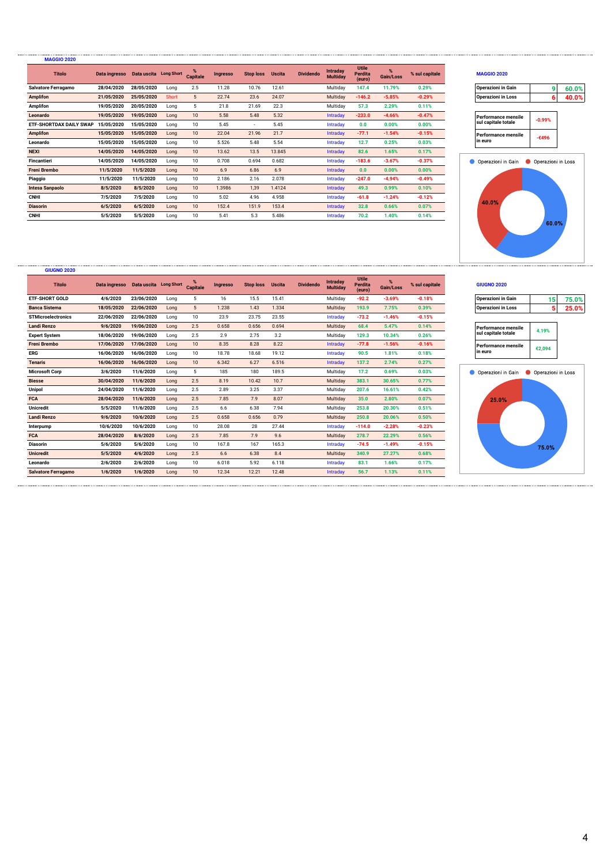| <b>MAGGIO 2020</b>             |                                      |            |       |                  |                 |                  |               |                  |                             |                                   |           |                |                           |                    |       |
|--------------------------------|--------------------------------------|------------|-------|------------------|-----------------|------------------|---------------|------------------|-----------------------------|-----------------------------------|-----------|----------------|---------------------------|--------------------|-------|
| <b>Titolo</b>                  | Data ingresso Data uscita Long Short |            |       | <b>Capitale</b>  | <b>Ingresso</b> | <b>Stop loss</b> | <b>Uscita</b> | <b>Dividendo</b> | Intraday<br><b>Multiday</b> | <b>Utile</b><br>Perdita<br>(euro) | Gain/Loss | % sul capitale | <b>MAGGIO 2020</b>        |                    |       |
| <b>Salvatore Ferragamo</b>     | 28/04/2020                           | 28/05/2020 | Long  | 2.5              | 11.28           | 10.76            | 12.61         |                  | Multiday                    | 147.4                             | 11.79%    | 0.29%          | <b>Operazioni in Gain</b> | a                  | 60.0% |
| <b>Amplifon</b>                | 21/05/2020                           | 25/05/2020 | Short | 5                | 22.74           | 23.6             | 24.07         |                  | Multiday                    | $-146.2$                          | $-5.85%$  | $-0.29%$       | <b>Operazioni in Loss</b> | 61                 | 40.0% |
| <b>Amplifon</b>                | 19/05/2020                           | 20/05/2020 | Long  | 5                | 21.8            | 21.69            | 22.3          |                  | Multiday                    | 57.3                              | 2.29%     | 0.11%          |                           |                    |       |
| Leonardo                       | 19/05/2020                           | 19/05/2020 | Long  | 10               | 5.58            | 5.48             | 5.32          |                  | Intraday                    | $-233.0$                          | $-4.66%$  | $-0.47%$       | Performance mensile       | $-0.99%$           |       |
| <b>ETF-SHORTDAX DAILY SWAP</b> | 15/05/2020                           | 15/05/2020 | Long  | 10               | 5.45            | $\sim$           | 5.45          |                  | Intraday                    | 0.0                               | 0.00%     | 0.00%          | sul capitale totale       |                    |       |
| <b>Amplifon</b>                | 15/05/2020                           | 15/05/2020 | Long  | 10               | 22.04           | 21.96            | 21.7          |                  | Intraday                    | $-77.1$                           | $-1.54%$  | $-0.15%$       | l Performance mensile     | -€496              |       |
| Leonardo                       | 15/05/2020                           | 15/05/2020 | Long  | 10               | 5.526           | 5.48             | 5.54          |                  | Intradav                    | 12.7                              | 0.25%     | 0.03%          | l in euro                 |                    |       |
| <b>NEXI</b>                    | 14/05/2020                           | 14/05/2020 | Long  | 10               | 13.62           | 13.5             | 13.845        |                  | <b>Intraday</b>             | 82.6                              | 1.65%     | 0.17%          |                           |                    |       |
| Fincantieri                    | 14/05/2020                           | 14/05/2020 | Long  | 10               | 0.708           | 0.694            | 0.682         |                  | Intraday                    | $-183.6$                          | $-3.67%$  | $-0.37%$       | Operazioni in Gain        | Operazioni in Loss |       |
| <b>Freni Brembo</b>            | 11/5/2020                            | 11/5/2020  | Long  | 10               | 6.9             | 6.86             | 6.9           |                  | Intradav                    | 0.0                               | 0.00%     | 0.00%          |                           |                    |       |
| Piaggio                        | 11/5/2020                            | 11/5/2020  | Long  | 10               | 2.186           | 2.16             | 2.078         |                  | Intraday                    | $-247.0$                          | $-4.94%$  | $-0.49%$       |                           |                    |       |
| <b>Intesa Sanpaolo</b>         | 8/5/2020                             | 8/5/2020   | Long  | 10 <sup>10</sup> | 1.3986          | 1,39             | 1.4124        |                  | <b>Intraday</b>             | 49.3                              | 0.99%     | 0.10%          |                           |                    |       |
| <b>CNHI</b>                    | 7/5/2020                             | 7/5/2020   | Long  | 10               | 5.02            | 4.96             | 4.958         |                  | Intraday                    | $-61.8$                           | $-1.24%$  | $-0.12%$       | 40.0%                     |                    |       |
| <b>Diasorin</b>                | 6/5/2020                             | 6/5/2020   | Long  | 10               | 152.4           | 151.9            | 153.4         |                  | Intraday                    | 32.8                              | 0.66%     | 0.07%          |                           |                    |       |
| <b>CNHI</b>                    | 5/5/2020                             | 5/5/2020   | Long  | 10               | 5.41            | 5.3              | 5.486         |                  | Intraday                    | 70.2                              | 1.40%     | 0.14%          |                           |                    |       |

**GIUGNO 2020**

### **% Gain/Loss % sul capitale MAGGIO 2020**

| Operazioni in Gain        | ሬስ በሂ |
|---------------------------|-------|
| <b>Operazioni in Loss</b> | ብ በሚ  |

| Performance mensile<br>sul capitale totale | $-0.99%$ |
|--------------------------------------------|----------|
| Performance mensile<br>in euro             | $-6496$  |



| <b>Operazioni in Gain</b>                         | 15     | 75.0% |
|---------------------------------------------------|--------|-------|
| <b>Operazioni in Loss</b>                         | 5      | 25.0% |
|                                                   |        |       |
| <b>Performance mensile</b><br>sul capitale totale | 4.19%  |       |
| Performance mensile<br>in euro                    | €2,094 |       |
|                                                   |        |       |
| Operazioni in Gain <b>Configurationi in Loss</b>  |        |       |



| <b>GIUGNU ZUZU</b>        |                                      |            |      |                      |                 |                  |               |                  |                                    |                                   |                   |                |                           |                    |       |
|---------------------------|--------------------------------------|------------|------|----------------------|-----------------|------------------|---------------|------------------|------------------------------------|-----------------------------------|-------------------|----------------|---------------------------|--------------------|-------|
| <b>Titolo</b>             | Data ingresso Data uscita Long Short |            |      | %<br><b>Capitale</b> | <b>Ingresso</b> | <b>Stop loss</b> | <b>Uscita</b> | <b>Dividendo</b> | <b>Intraday</b><br><b>Multiday</b> | <b>Utile</b><br>Perdita<br>(euro) | $\%$<br>Gain/Loss | % sul capitale | <b>GIUGNO 2020</b>        |                    |       |
| <b>ETF-SHORT GOLD</b>     | 4/6/2020                             | 23/06/2020 | Long | 5                    | 16              | 15.5             | 15.41         |                  | Multiday                           | $-92.2$                           | $-3.69%$          | $-0.18%$       | <b>Operazioni in Gain</b> | 15                 | 75.0% |
| <b>Banca Sistema</b>      | 18/05/2020                           | 22/06/2020 | Long | 5                    | 1.238           | 1.43             | 1.334         |                  | Multiday                           | 193.9                             | 7.75%             | 0.39%          | <b>Operazioni in Loss</b> | 5                  | 25.0% |
| <b>STMicroelectronics</b> | 22/06/2020                           | 22/06/2020 | Long | 10                   | 23.9            | 23.75            | 23.55         |                  | Intraday                           | $-73.2$                           | $-1.46%$          | $-0.15%$       |                           |                    |       |
| Landi Renzo               | 9/6/2020                             | 19/06/2020 | Long | 2.5                  | 0.658           | 0.656            | 0.694         |                  | Multiday                           | 68.4                              | 5.47%             | 0.14%          | Performance mensile       | 4.19%              |       |
| <b>Expert System</b>      | 18/06/2020                           | 19/06/2020 | Long | 2.5                  | 2.9             | 2.75             | 3.2           |                  | Multiday                           | 129.3                             | 10.34%            | 0.26%          | sul capitale totale       |                    |       |
| <b>Freni Brembo</b>       | 17/06/2020                           | 17/06/2020 | Long | 10                   | 8.35            | 8.28             | 8.22          |                  | Intraday                           | $-77.8$                           | $-1.56%$          | $-0.16%$       | Performance mensile       | €2,094             |       |
| ERG                       | 16/06/2020                           | 16/06/2020 | Long | 10                   | 18.78           | 18.68            | 19.12         |                  | Intraday                           | 90.5                              | 1.81%             | 0.18%          | l in euro                 |                    |       |
| <b>Tenaris</b>            | 16/06/2020                           | 16/06/2020 | Long | 10                   | 6.342           | 6.27             | 6.516         |                  | Intraday                           | 137.2                             | 2.74%             | 0.27%          |                           |                    |       |
| <b>Microsoft Corp</b>     | 3/6/2020                             | 11/6/2020  | Long | 5                    | 185             | 180              | 189.5         |                  | Multiday                           | 17.2                              | 0.69%             | 0.03%          | Operazioni in Gain        | Operazioni in Loss |       |
| <b>Biesse</b>             | 30/04/2020                           | 11/6/2020  | Long | 2.5                  | 8.19            | 10.42            | 10.7          |                  | Multiday                           | 383.1                             | 30.65%            | 0.77%          |                           |                    |       |
| Unipol                    | 24/04/2020                           | 11/6/2020  | Long | 2.5                  | 2.89            | 3.25             | 3.37          |                  | Multiday                           | 207.6                             | 16.61%            | 0.42%          |                           |                    |       |
| <b>FCA</b>                | 28/04/2020                           | 11/6/2020  | Long | 2.5                  | 7.85            | 7.9              | 8.07          |                  | Multiday                           | 35.0                              | 2.80%             | 0.07%          | 25.0%                     |                    |       |
| Unicredit                 | 5/5/2020                             | 11/6/2020  | Long | 2.5                  | 6.6             | 6.38             | 7.94          |                  | Multiday                           | 253.8                             | 20.30%            | 0.51%          |                           |                    |       |
| Landi Renzo               | 9/6/2020                             | 10/6/2020  | Long | 2.5                  | 0.658           | 0.656            | 0.79          |                  | Multiday                           | 250.8                             | 20.06%            | 0.50%          |                           |                    |       |
| Interpump                 | 10/6/2020                            | 10/6/2020  | Long | 10                   | 28.08           | 28               | 27.44         |                  | Intraday                           | $-114.0$                          | $-2.28%$          | $-0.23%$       |                           |                    |       |
| <b>FCA</b>                | 28/04/2020                           | 8/6/2020   | Long | 2.5                  | 7.85            | 7.9              | 9.6           |                  | Multiday                           | 278.7                             | 22.29%            | 0.56%          |                           |                    |       |
| <b>Diasorin</b>           | 5/6/2020                             | 5/6/2020   | Long | 10                   | 167.8           | 167              | 165.3         |                  | Intraday                           | $-74.5$                           | $-1.49%$          | $-0.15%$       |                           | 75.0%              |       |
| <b>Unicredit</b>          | 5/5/2020                             | 4/6/2020   | Long | 2.5                  | 6.6             | 6.38             | 8.4           |                  | Multiday                           | 340.9                             | 27.27%            | 0.68%          |                           |                    |       |
| Leonardo                  | 2/6/2020                             | 2/6/2020   | Long | 10                   | 6.018           | 5.92             | 6.118         |                  | Intraday                           | 83.1                              | 1.66%             | 0.17%          |                           |                    |       |
| Salvatore Ferragamo       | 1/6/2020                             | 1/6/2020   | Long | 10                   | 12.34           | 12.21            | 12.48         |                  | Intraday                           | 56.7                              | 1.13%             | 0.11%          |                           |                    |       |
|                           |                                      |            |      |                      |                 |                  |               |                  |                                    |                                   |                   |                |                           |                    |       |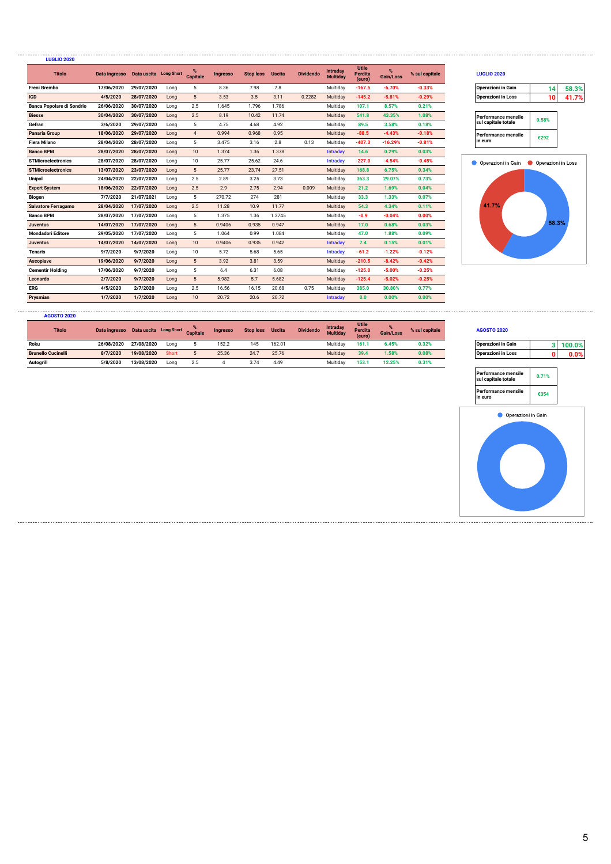| <b>LUGLIO 2020</b>               |                                      |            |      |                      |                 |                  |               |                  |                             |                                   |                   |                |                                       |       |       |
|----------------------------------|--------------------------------------|------------|------|----------------------|-----------------|------------------|---------------|------------------|-----------------------------|-----------------------------------|-------------------|----------------|---------------------------------------|-------|-------|
| <b>Titolo</b>                    | Data ingresso Data uscita Long Short |            |      | %<br><b>Capitale</b> | <b>Ingresso</b> | <b>Stop loss</b> | <b>Uscita</b> | <b>Dividendo</b> | Intraday<br><b>Multiday</b> | <b>Utile</b><br>Perdita<br>(euro) | $\%$<br>Gain/Loss | % sul capitale | <b>LUGLIO 2020</b>                    |       |       |
| <b>Freni Brembo</b>              | 17/06/2020                           | 29/07/2020 | Long | 5                    | 8.36            | 7.98             | 7.8           |                  | Multiday                    | $-167.5$                          | $-6.70%$          | $-0.33%$       | <b>Operazioni in Gain</b>             | 14    | 58.3% |
| <b>IGD</b>                       | 4/5/2020                             | 28/07/2020 | Long | 5                    | 3.53            | 3.5              | 3.11          | 0.2282           | Multiday                    | $-145.2$                          | $-5.81%$          | $-0.29%$       | <b>Operazioni in Loss</b>             | 10    | 41.7% |
| <b>Banca Popolare di Sondrio</b> | 26/06/2020                           | 30/07/2020 | Long | 2.5                  | 1.645           | 1.796            | 1.786         |                  | Multidav                    | 107.1                             | 8.57%             | 0.21%          |                                       |       |       |
| <b>Biesse</b>                    | 30/04/2020                           | 30/07/2020 | Long | 2.5                  | 8.19            | 10.42            | 11.74         |                  | Multiday                    | 541.8                             | 43.35%            | 1.08%          | <b>Performance mensile</b>            | 0.58% |       |
| Gefran                           | 3/6/2020                             | 29/07/2020 | Long | 5                    | 4.75            | 4.68             | 4.92          |                  | Multiday                    | 89.5                              | 3.58%             | 0.18%          | sul capitale totale                   |       |       |
| <b>Panaria Group</b>             | 18/06/2020                           | 29/07/2020 | Long | $\overline{4}$       | 0.994           | 0.968            | 0.95          |                  | Multiday                    | $-88.5$                           | $-4.43%$          | $-0.18%$       | <b>Performance mensile</b>            | €292  |       |
| <b>Fiera Milano</b>              | 28/04/2020                           | 28/07/2020 | Long | 5                    | 3.475           | 3.16             | 2.8           | 0.13             | Multiday                    | $-407.3$                          | $-16.29%$         | $-0.81%$       | in euro                               |       |       |
| <b>Banco BPM</b>                 | 28/07/2020                           | 28/07/2020 | Long | 10                   | 1.374           | 1.36             | 1.378         |                  | Intraday                    | 14.6                              | 0.29%             | 0.03%          |                                       |       |       |
| <b>STMicroelectronics</b>        | 28/07/2020                           | 28/07/2020 | Long | 10                   | 25.77           | 25.62            | 24.6          |                  | Intraday                    | $-227.0$                          | $-4.54%$          | $-0.45%$       | Operazioni in Gain Operazioni in Loss |       |       |
| <b>STMicroelectronics</b>        | 13/07/2020                           | 23/07/2020 | Long | 5                    | 25.77           | 23.74            | 27.51         |                  | Multiday                    | 168.8                             | 6.75%             | 0.34%          |                                       |       |       |
| <b>Unipol</b>                    | 24/04/2020                           | 22/07/2020 | Long | 2.5                  | 2.89            | 3.25             | 3.73          |                  | Multiday                    | 363.3                             | 29.07%            | 0.73%          |                                       |       |       |
| <b>Expert System</b>             | 18/06/2020                           | 22/07/2020 | Long | 2.5                  | 2.9             | 2.75             | 2.94          | 0.009            | Multiday                    | 21.2                              | 1.69%             | 0.04%          |                                       |       |       |
| <b>Biogen</b>                    | 7/7/2020                             | 21/07/2021 | Long | 5                    | 270.72          | 274              | 281           |                  | Multiday                    | 33.3                              | 1.33%             | 0.07%          |                                       |       |       |
| <b>Salvatore Ferragamo</b>       | 28/04/2020                           | 17/07/2020 | Long | 2.5                  | 11.28           | 10.9             | 11.77         |                  | Multiday                    | 54.3                              | 4.34%             | 0.11%          | 41.7%                                 |       |       |
| <b>Banco BPM</b>                 | 28/07/2020                           | 17/07/2020 | Long | 5                    | 1.375           | 1.36             | 1.3745        |                  | Multidav                    | $-0.9$                            | $-0.04%$          | 0.00%          |                                       |       |       |
| <b>Juventus</b>                  | 14/07/2020                           | 17/07/2020 | Long | $5\phantom{.0}$      | 0.9406          | 0.935            | 0.947         |                  | Multiday                    | 17.0                              | 0.68%             | 0.03%          |                                       | 58.3% |       |
| <b>Mondadori Editore</b>         | 29/05/2020                           | 17/07/2020 | Long | 5                    | 1.064           | 0.99             | 1.084         |                  | Multiday                    | 47.0                              | 1.88%             | 0.09%          |                                       |       |       |
| <b>Juventus</b>                  | 14/07/2020                           | 14/07/2020 | Long | 10                   | 0.9406          | 0.935            | 0.942         |                  | Intraday                    | 7.4                               | 0.15%             | 0.01%          |                                       |       |       |
| <b>Tenaris</b>                   | 9/7/2020                             | 9/7/2020   | Long | 10                   | 5.72            | 5.68             | 5.65          |                  | Intraday                    | $-61.2$                           | $-1.22%$          | $-0.12%$       |                                       |       |       |
| Ascopiave                        | 19/06/2020                           | 9/7/2020   | Long | 5                    | 3.92            | 3.81             | 3.59          |                  | Multiday                    | $-210.5$                          | $-8.42%$          | $-0.42%$       |                                       |       |       |
| <b>Cementir Holding</b>          | 17/06/2020                           | 9/7/2020   | Long | 5                    | 6.4             | 6.31             | 6.08          |                  | Multidav                    | $-125.0$                          | $-5.00%$          | $-0.25%$       |                                       |       |       |
| Leonardo                         | 2/7/2020                             | 9/7/2020   | Long | 5                    | 5.982           | 5.7              | 5.682         |                  | Multiday                    | $-125.4$                          | $-5.02%$          | $-0.25%$       |                                       |       |       |
| ERG                              | 4/5/2020                             | 2/7/2020   | Long | 2.5                  | 16.56           | 16.15            | 20.68         | 0.75             | Multiday                    | 385.0                             | 30.80%            | 0.77%          |                                       |       |       |
| Prysmian                         | 1/7/2020                             | 1/7/2020   | Long | 10                   | 20.72           | 20.6             | 20.72         |                  | Intraday                    | 0.0                               | 0.00%             | 0.00%          |                                       |       |       |

## **% Gain/Loss % sul capitale LUGLIO 2020**

| erazioni in Gain |  |
|------------------|--|
| erazioni in Loss |  |

| Performance mensile<br>sul capitale totale | 0.58% |
|--------------------------------------------|-------|
| Performance mensile<br>in euro             | €292  |



| <b>AGOSTO 2020</b>        |               |                                 |       |     |          |                  |               |                  |                             |                            |           |                |                           |    |        |
|---------------------------|---------------|---------------------------------|-------|-----|----------|------------------|---------------|------------------|-----------------------------|----------------------------|-----------|----------------|---------------------------|----|--------|
| <b>Titolo</b>             | Data ingresso | Data uscita Long Short Capitale |       |     | Ingresso | <b>Stop loss</b> | <b>Uscita</b> | <b>Dividendo</b> | <b>Intraday</b><br>Multiday | Utile<br>Perdita<br>(euro) | Gain/Loss | % sul capitale | <b>AGOSTO 2020</b>        |    |        |
| Roku                      | 26/08/2020    | 27/08/2020                      | Long  |     | 152.2    | 145              | 162.01        |                  | Multiday                    | 161.                       | 6.45%     | 0.32%          | <b>Operazioni in Gain</b> |    | 100.0% |
| <b>Brunello Cucinelli</b> | 8/7/2020      | 19/08/2020                      | Short |     | 25.36    | 24.7             | 25.76         |                  | Multidav                    | 39.4                       | 1.58%     | 0.08%          | Operazioni in Loss        | n۱ | 0.0%   |
| <b>Autogrill</b>          | 5/8/2020      | 13/08/2020                      | Long  | 2.5 |          | 3.74             | 4.49          |                  | Multiday                    | 153.                       | 12.25%    | 0.31%          |                           |    |        |

### **% Gain/Loss % sul capitale AGOSTO 2020**

| <b>Operazioni in Gain</b> |  |
|---------------------------|--|
| <b>Operazioni in Loss</b> |  |

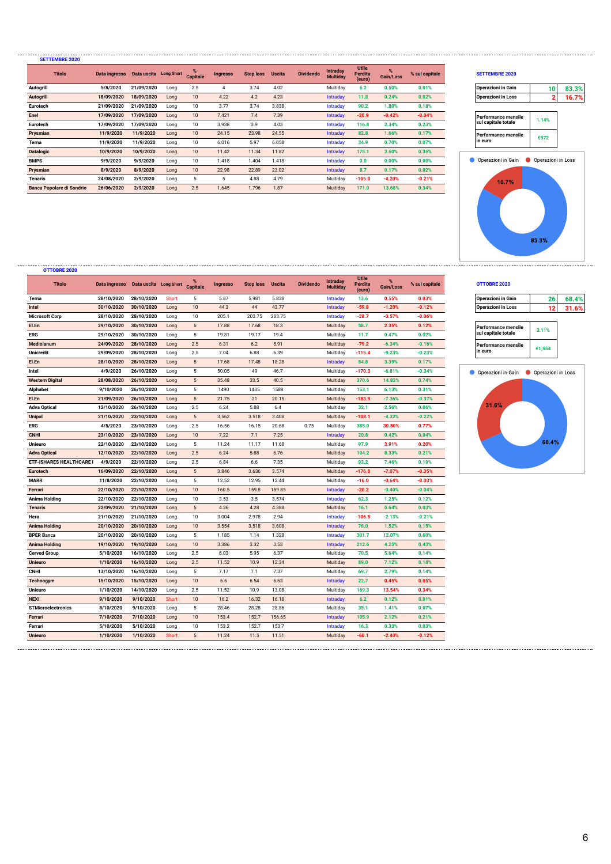| <b>SETTEMBRE 2020</b>            |                                      |            |      |                  |                 |                  |               |                  |                             |                                   |           |                |                            |                    |       |
|----------------------------------|--------------------------------------|------------|------|------------------|-----------------|------------------|---------------|------------------|-----------------------------|-----------------------------------|-----------|----------------|----------------------------|--------------------|-------|
| <b>Titolo</b>                    | Data ingresso Data uscita Long Short |            |      | <b>Capitale</b>  | <b>Ingresso</b> | <b>Stop loss</b> | <b>Uscita</b> | <b>Dividendo</b> | Intraday<br><b>Multiday</b> | <b>Utile</b><br>Perdita<br>(euro) | Gain/Loss | % sul capitale | <b>SETTEMBRE 2020</b>      |                    |       |
| <b>Autogrill</b>                 | 5/8/2020                             | 21/09/2020 | Long | 2.5              |                 | 3.74             | 4.02          |                  | Multiday                    | 6.2                               | 0.50%     | 0.01%          | <b>Operazioni in Gain</b>  | 10 <sup>1</sup>    | 83.3% |
| <b>Autogrill</b>                 | 18/09/2020                           | 18/09/2020 | Long | 10               | 4.22            | 4.2              | 4.23          |                  | <b>Intraday</b>             | 11.8                              | 0.24%     | 0.02%          | <b>Operazioni in Loss</b>  | 2                  | 16.7% |
| Eurotech                         | 21/09/2020                           | 21/09/2020 | Long | 10               | 3.77            | 3.74             | 3.838         |                  | Intraday                    | 90.2                              | 1.80%     | 0.18%          |                            |                    |       |
| Enel                             | 17/09/2020                           | 17/09/2020 | Long | 10 <sup>10</sup> | 7.421           | 7.4              | 7.39          |                  | <b>Intraday</b>             | $-20.9$                           | $-0.42%$  | $-0.04%$       | <b>Performance mensile</b> | 1.14%              |       |
| Eurotech                         | 17/09/2020                           | 17/09/2020 | Long | 10               | 3.938           | 3.9              | 4.03          |                  | Intraday                    | 116.8                             | 2.34%     | 0.23%          | sul capitale totale        |                    |       |
| Prysmian                         | 11/9/2020                            | 11/9/2020  | Long | 10               | 24.15           | 23.98            | 24.55         |                  | <b>Intraday</b>             | 82.8                              | 1.66%     | 0.17%          | Performance mensile        | €572               |       |
| Terna                            | 11/9/2020                            | 11/9/2020  | Long | 10               | 6.016           | 5.97             | 6.058         |                  | Intraday                    | 34.9                              | 0.70%     | 0.07%          | in euro                    |                    |       |
| <b>Datalogic</b>                 | 10/9/2020                            | 10/9/2020  | Long | 10               | 11.42           | 11.34            | 11.82         |                  | <b>Intraday</b>             | 175.1                             | 3.50%     | 0.35%          |                            |                    |       |
| <b>BMPS</b>                      | 9/9/2020                             | 9/9/2020   | Long | 10               | 1.418           | 1.404            | 1.418         |                  | Intraday                    | 0.0                               | 0.00%     | 0.00%          | Operazioni in Gain         | Operazioni in Loss |       |
| Prysmian                         | 8/9/2020                             | 8/9/2020   | Long | 10               | 22.98           | 22.89            | 23.02         |                  | <b>Intraday</b>             | 8.7                               | 0.17%     | 0.02%          |                            |                    |       |
| Tenaris                          | 24/08/2020                           | 2/9/2020   | Long | 5                | 5               | 4.88             | 4.79          |                  | Multiday                    | $-105.0$                          | $-4.20%$  | $-0.21%$       | 16.7%                      |                    |       |
| <b>Banca Popolare di Sondrio</b> | 26/06/2020                           | 2/9/2020   | Long | 2.5              | 1.645           | 1.796            | 1.87          |                  | Multiday                    | 171.0                             | 13.68%    | 0.34%          |                            |                    |       |

# **% Gain/Loss % sul capitale SETTEMBRE 2020**

| <b>Operazioni in Gain</b> |  |
|---------------------------|--|
| <b>Operazioni in Loss</b> |  |

| Performance mensile<br>sul capitale totale | 1.14% |
|--------------------------------------------|-------|
| Performance mensile<br>in euro             | €572  |



### **% Gain/Loss % sul capitale OTTOBRE 2020**

| <b>Operazioni in Gain</b>                         | 26     | 68.4% |
|---------------------------------------------------|--------|-------|
| <b>Operazioni in Loss</b>                         | 12     | 31.6% |
|                                                   |        |       |
| <b>Performance mensile</b><br>sul capitale totale | 3.11%  |       |
| <b>Performance mensile</b><br>in euro             | €1.554 |       |



| OTTOBRE 2020                    |               |                        |              |                                  |                 |                  |               |                  |                             |                                   |                |                |                                       |        |       |
|---------------------------------|---------------|------------------------|--------------|----------------------------------|-----------------|------------------|---------------|------------------|-----------------------------|-----------------------------------|----------------|----------------|---------------------------------------|--------|-------|
| <b>Titolo</b>                   | Data ingresso | Data uscita Long Short |              | $\frac{9}{6}$<br><b>Capitale</b> | <b>Ingresso</b> | <b>Stop loss</b> | <b>Uscita</b> | <b>Dividendo</b> | Intraday<br><b>Multiday</b> | <b>Utile</b><br>Perdita<br>(euro) | %<br>Gain/Loss | % sul capitale | OTTOBRE 2020                          |        |       |
| Terna                           | 28/10/2020    | 28/10/2020             | Short        | 5                                | 5.87            | 5.981            | 5.838         |                  | Intraday                    | 13.6                              | 0.55%          | 0.03%          | <b>Operazioni in Gain</b>             | 26     | 68.4% |
| Intel                           | 30/10/2020    | 30/10/2020             | Long         | 10                               | 44.3            | 44               | 43.77         |                  | Intraday                    | $-59.8$                           | $-1.20%$       | $-0.12%$       | <b>Operazioni in Loss</b>             | 12     | 31.6% |
| <b>Microsoft Corp</b>           | 28/10/2020    | 28/10/2020             | Long         | 10                               | 205.1           | 203.75           | 203.75        |                  | Intraday                    | $-28.7$                           | $-0.57%$       | $-0.06%$       |                                       |        |       |
| El.En                           | 29/10/2020    | 30/10/2020             | Long         | $5\phantom{.0}$                  | 17.88           | 17.68            | 18.3          |                  | Multiday                    | 58.7                              | 2.35%          | 0.12%          | <b>Performance mensile</b>            |        |       |
| ERG                             | 29/10/2020    | 30/10/2020             | Long         | 5                                | 19.31           | 19.17            | 19.4          |                  | Multiday                    | 11.7                              | 0.47%          | 0.02%          | sul capitale totale                   | 3.11%  |       |
| <b>Mediolanum</b>               | 24/09/2020    | 28/10/2020             | Long         | 2.5                              | 6.31            | 6.2              | 5.91          |                  | Multiday                    | $-79.2$                           | $-6.34%$       | $-0.16%$       | <b>Performance mensile</b>            | €1,554 |       |
| <b>Unicredit</b>                | 29/09/2020    | 28/10/2020             | Long         | 2.5                              | 7.04            | 6.88             | 6.39          |                  | Multiday                    | $-115.4$                          | $-9.23%$       | $-0.23%$       | in euro                               |        |       |
| El.En                           | 28/10/2020    | 28/10/2020             | Long         | $5\phantom{.0}$                  | 17.68           | 17.48            | 18.28         |                  | Intraday                    | 84.8                              | 3.39%          | 0.17%          |                                       |        |       |
| Intel                           | 4/9/2020      | 26/10/2020             | Long         | 5                                | 50.05           | 49               | 46.7          |                  | Multiday                    | $-170.3$                          | $-6.81%$       | $-0.34%$       | Operazioni in Gain Operazioni in Loss |        |       |
| <b>Western Digital</b>          | 28/08/2020    | 26/10/2020             | Long         | $5\phantom{.0}$                  | 35.48           | 33.5             | 40.5          |                  | Multiday                    | 370.6                             | 14.83%         | 0.74%          |                                       |        |       |
| <b>Alphabet</b>                 | 9/10/2020     | 26/10/2020             | Long         | $5\phantom{.0}$                  | 1490            | 1435             | 1588          |                  | Multiday                    | 153.1                             | 6.13%          | 0.31%          |                                       |        |       |
| El.En                           | 21/09/2020    | 26/10/2020             | Long         | 5                                | 21.75           | 21               | 20.15         |                  | Multiday                    | $-183.9$                          | $-7.36%$       | $-0.37%$       |                                       |        |       |
| <b>Adva Optical</b>             | 12/10/2020    | 26/10/2020             | Long         | 2.5                              | 6.24            | 5.88             | 6.4           |                  | Multiday                    | 32.1                              | 2.56%          | 0.06%          | 31.6%                                 |        |       |
| <b>Unipol</b>                   | 21/10/2020    | 23/10/2020             | Long         | $5\phantom{.0}$                  | 3.562           | 3.518            | 3.408         |                  | Multiday                    | $-108.1$                          | $-4.32%$       | $-0.22%$       |                                       |        |       |
| ERG                             | 4/5/2020      | 23/10/2020             | Long         | 2.5                              | 16.56           | 16.15            | 20.68         | 0.75             | Multiday                    | 385.0                             | 30.80%         | 0.77%          |                                       |        |       |
| <b>CNHI</b>                     | 23/10/2020    | 23/10/2020             | Long         | 10                               | 7.22            | 7.1              | 7.25          |                  | Intraday                    | 20.8                              | 0.42%          | 0.04%          |                                       |        |       |
| <b>Unieuro</b>                  | 22/10/2020    | 23/10/2020             | Long         | $\overline{5}$                   | 11.24           | 11.17            | 11.68         |                  | Multiday                    | 97.9                              | 3.91%          | 0.20%          |                                       | 68.4%  |       |
| <b>Adva Optical</b>             | 12/10/2020    | 22/10/2020             | Long         | 2.5                              | 6.24            | 5.88             | 6.76          |                  | Multiday                    | 104.2                             | 8.33%          | 0.21%          |                                       |        |       |
| <b>ETF-ISHARES HEALTHCARE I</b> | 4/9/2020      | 22/10/2020             | Long         | 2.5                              | 6.84            | 6.6              | 7.35          |                  | Multiday                    | 93.2                              | 7.46%          | 0.19%          |                                       |        |       |
| Eurotech                        | 16/09/2020    | 22/10/2020             | Long         | $5\phantom{.0}$                  | 3.846           | 3.636            | 3.574         |                  | Multiday                    | $-176.8$                          | $-7.07%$       | $-0.35%$       |                                       |        |       |
| <b>MARR</b>                     | 11/8/2020     | 22/10/2020             | Long         | 5                                | 12.52           | 12.95            | 12.44         |                  | Multiday                    | $-16.0$                           | $-0.64%$       | $-0.03%$       |                                       |        |       |
| Ferrari                         | 22/10/2020    | 22/10/2020             | Long         | 10                               | 160.5           | 159.8            | 159.85        |                  | Intraday                    | $-20.2$                           | $-0.40%$       | $-0.04%$       |                                       |        |       |
| Anima Holding                   | 22/10/2020    | 22/10/2020             | Long         | 10                               | 3.53            | 3.5              | 3.574         |                  | Intraday                    | 62.3                              | 1.25%          | 0.12%          |                                       |        |       |
| <b>Tenaris</b>                  | 22/09/2020    | 21/10/2020             | Long         | $5\phantom{.0}$                  | 4.36            | 4.28             | 4.388         |                  | Multiday                    | 16.1                              | 0.64%          | 0.03%          |                                       |        |       |
| Hera                            | 21/10/2020    | 21/10/2020             | Long         | 10                               | 3.004           | 2.978            | 2.94          |                  | Intraday                    | $-106.5$                          | $-2.13%$       | $-0.21%$       |                                       |        |       |
| <b>Anima Holding</b>            | 20/10/2020    | 20/10/2020             | Long         | 10                               | 3.554           | 3.518            | 3.608         |                  | Intraday                    | 76.0                              | 1.52%          | 0.15%          |                                       |        |       |
| <b>BPER Banca</b>               | 20/10/2020    | 20/10/2020             | Long         | 5                                | 1.185           | 1.14             | 1.328         |                  | Intraday                    | 301.7                             | 12.07%         | 0.60%          |                                       |        |       |
| Anima Holding                   | 19/10/2020    | 19/10/2020             | Long         | 10                               | 3.386           | 3.32             | 3.53          |                  | Intraday                    | 212.6                             | 4.25%          | 0.43%          |                                       |        |       |
| <b>Cerved Group</b>             | 5/10/2020     | 16/10/2020             | Long         | 2.5                              | 6.03            | 5.95             | 6.37          |                  | Multiday                    | 70.5                              | 5.64%          | 0.14%          |                                       |        |       |
| <b>Unieuro</b>                  | 1/10/2020     | 16/10/2020             | Long         | 2.5                              | 11.52           | 10.9             | 12.34         |                  | Multiday                    | 89.0                              | 7.12%          | 0.18%          |                                       |        |       |
| <b>CNHI</b>                     | 13/10/2020    | 16/10/2020             | Long         | 5                                | 7.17            | 7.1              | 7.37          |                  | Multiday                    | 69.7                              | 2.79%          | 0.14%          |                                       |        |       |
| Technogym                       | 15/10/2020    | 15/10/2020             | Long         | 10                               | 6.6             | 6.54             | 6.63          |                  | Intraday                    | 22.7                              | 0.45%          | 0.05%          |                                       |        |       |
| <b>Unieuro</b>                  | 1/10/2020     | 14/10/2020             | Long         | 2.5                              | 11.52           | 10.9             | 13.08         |                  | Multiday                    | 169.3                             | 13.54%         | 0.34%          |                                       |        |       |
| <b>NEXI</b>                     | 9/10/2020     | 9/10/2020              | Short        | 10                               | 16.2            | 16.32            | 16.18         |                  | Intraday                    | 6.2                               | 0.12%          | 0.01%          |                                       |        |       |
| <b>STMicroelectronics</b>       | 8/10/2020     | 9/10/2020              | Long         | 5                                | 28.46           | 28.28            | 28.86         |                  | Multiday                    | 35.1                              | 1.41%          | 0.07%          |                                       |        |       |
| Ferrari                         | 7/10/2020     | 7/10/2020              | Long         | 10                               | 153.4           | 152.7            | 156.65        |                  | Intraday                    | 105.9                             | 2.12%          | 0.21%          |                                       |        |       |
| Ferrari                         | 5/10/2020     | 5/10/2020              | Long         | 10                               | 153.2           | 152.7            | 153.7         |                  | Intraday                    | 16.3                              | 0.33%          | 0.03%          |                                       |        |       |
| <b>Unieuro</b>                  | 1/10/2020     | 1/10/2020              | <b>Short</b> | $5\phantom{.0}$                  | 11.24           | 11.5             | 11.51         |                  | Multiday                    | $-60.1$                           | $-2.40%$       | $-0.12%$       |                                       |        |       |
|                                 |               |                        |              |                                  |                 |                  |               |                  |                             |                                   |                |                |                                       |        |       |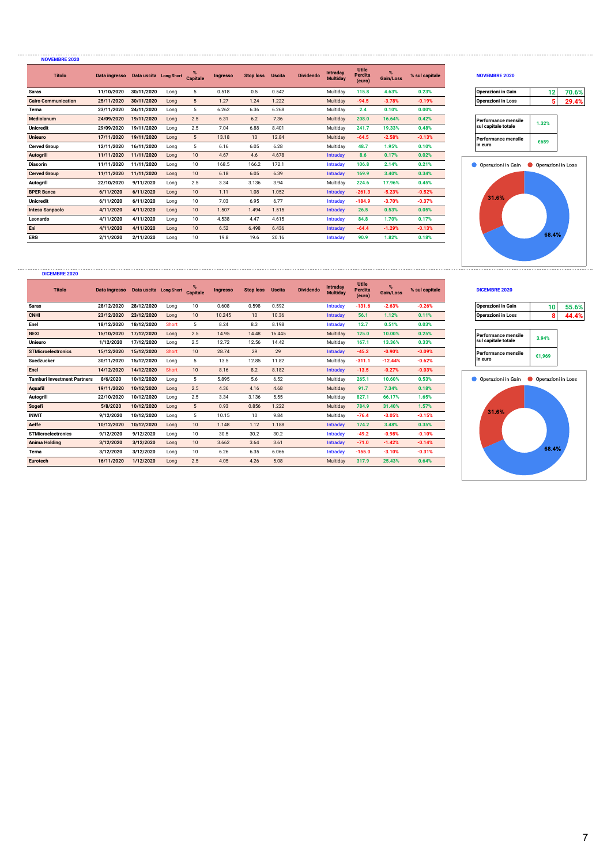| <b>Titolo</b>              | Data ingresso  Data uscita  Long Short |            |      | <b>Capitale</b> | Ingresso | <b>Stop loss</b> | <b>Uscita</b> | <b>Dividendo</b> | Intraday<br><b>Multiday</b> | Utile<br>Perdita<br>(euro) | $\%$<br>Gain/Loss | % sul capitale | <b>NOVEMBRE 2020</b> |                    |       |
|----------------------------|----------------------------------------|------------|------|-----------------|----------|------------------|---------------|------------------|-----------------------------|----------------------------|-------------------|----------------|----------------------|--------------------|-------|
| <b>Saras</b>               | 11/10/2020                             | 30/11/2020 | Long | 5               | 0.518    | 0.5              | 0.542         |                  | Multiday                    | 115.8                      | 4.63%             | 0.23%          | Operazioni in Gain   | 12                 | 70.6% |
| <b>Cairo Communication</b> | 25/11/2020                             | 30/11/2020 | Long | 5               | 1.27     | 1.24             | 1.222         |                  | Multiday                    | $-94.5$                    | $-3.78%$          | $-0.19%$       | Operazioni in Loss   | 5                  | 29.4% |
| Terna                      | 23/11/2020                             | 24/11/2020 | Long | 5               | 6.262    | 6.36             | 6.268         |                  | Multiday                    | 2.4                        | 0.10%             | 0.00%          |                      |                    |       |
| Mediolanum                 | 24/09/2020                             | 19/11/2020 | Long | 2.5             | 6.31     | 6.2              | 7.36          |                  | Multiday                    | 208.0                      | 16.64%            | 0.42%          | Performance mensile  | 1.32%              |       |
| <b>Unicredit</b>           | 29/09/2020                             | 19/11/2020 | Long | 2.5             | 7.04     | 6.88             | 8.401         |                  | Multiday                    | 241.7                      | 19.33%            | 0.48%          | sul capitale totale  |                    |       |
| <b>Unieuro</b>             | 17/11/2020                             | 19/11/2020 | Long | 5               | 13.18    | 13               | 12.84         |                  | Multiday                    | $-64.5$                    | $-2.58%$          | $-0.13%$       | Performance mensile  | €659               |       |
| <b>Cerved Group</b>        | 12/11/2020                             | 16/11/2020 | Long | 5               | 6.16     | 6.05             | 6.28          |                  | Multiday                    | 48.7                       | 1.95%             | 0.10%          | in euro              |                    |       |
| <b>Autogrill</b>           | 11/11/2020                             | 11/11/2020 | Long | 10              | 4.67     | 4.6              | 4.678         |                  | Intraday                    | 8.6                        | 0.17%             | 0.02%          |                      |                    |       |
| <b>Diasorin</b>            | 11/11/2020                             | 11/11/2020 | Long | 10              | 168.5    | 166.2            | 172.1         |                  | Intraday                    | 106.8                      | 2.14%             | 0.21%          | Operazioni in Gain   | Operazioni in Loss |       |
| <b>Cerved Group</b>        | 11/11/2020                             | 11/11/2020 | Long | 10              | 6.18     | 6.05             | 6.39          |                  | Intraday                    | 169.9                      | 3.40%             | 0.34%          |                      |                    |       |
| <b>Autogrill</b>           | 22/10/2020                             | 9/11/2020  | Long | 2.5             | 3.34     | 3.136            | 3.94          |                  | Multiday                    | 224.6                      | 17.96%            | 0.45%          |                      |                    |       |
| <b>BPER Banca</b>          | 6/11/2020                              | 6/11/2020  | Long | 10              | 1.11     | 1.08             | 1.052         |                  | Intraday                    | $-261.3$                   | $-5.23%$          | $-0.52%$       |                      |                    |       |
| <b>Unicredit</b>           | 6/11/2020                              | 6/11/2020  | Long | 10              | 7.03     | 6.95             | 6.77          |                  | Intradav                    | $-184.9$                   | $-3.70%$          | $-0.37%$       | 31.6%                |                    |       |
| <b>Intesa Sanpaolo</b>     | 4/11/2020                              | 4/11/2020  | Long | 10              | 1.507    | 1.494            | 1.515         |                  | Intraday                    | 26.5                       | 0.53%             | 0.05%          |                      |                    |       |
| Leonardo                   | 4/11/2020                              | 4/11/2020  | Long | 10              | 4.538    | 4.47             | 4.615         |                  | Intradav                    | 84.8                       | 1.70%             | 0.17%          |                      |                    |       |
| Eni                        | 4/11/2020                              | 4/11/2020  | Long | 10              | 6.52     | 6.498            | 6.436         |                  | Intraday                    | $-64.4$                    | $-1.29%$          | $-0.13%$       |                      |                    |       |
| <b>ERG</b>                 | 2/11/2020                              | 2/11/2020  | Long | 10              | 19.8     | 19.6             | 20.16         |                  | Intraday                    | 90.9                       | 1.82%             | 0.18%          |                      | 68.4%              |       |

### **% Gain/Loss % sul capitale NOVEMBRE 2020**

| <b>Operazioni in Gain</b> | 7በ 6% |
|---------------------------|-------|
| <b>Operazioni in Loss</b> | 70 д- |

| Performance mensile<br>sul capitale totale | 1.32% |
|--------------------------------------------|-------|
| Performance mensile<br>in euro             | €659  |



### **DICEMBRE 2020**

**NOVEMBRE 2020**

| <b>Titolo</b>                      | Data ingresso  Data uscita  Long Short |            |       | <b>Capitale</b> | <b>Ingresso</b> | <b>Stop loss</b> | <b>Uscita</b> | <b>Dividendo</b> | Intraday<br><b>Multiday</b> | <b>Utile</b><br>Perdita<br>(euro) | Gain/Loss | % sul capitale | DICEMBRE 2020              |                    |       |
|------------------------------------|----------------------------------------|------------|-------|-----------------|-----------------|------------------|---------------|------------------|-----------------------------|-----------------------------------|-----------|----------------|----------------------------|--------------------|-------|
| <b>Saras</b>                       | 28/12/2020                             | 28/12/2020 | Long  | 10              | 0.608           | 0.598            | 0.592         |                  | Intraday                    | $-131.6$                          | $-2.63%$  | $-0.26%$       | <b>Operazioni in Gain</b>  | 10                 | 55.6% |
| <b>CNHI</b>                        | 23/12/2020                             | 23/12/2020 | Long  | 10              | 10.245          | 10               | 10.36         |                  | Intraday                    | 56.1                              | 1.12%     | 0.11%          | <b>Operazioni in Loss</b>  | 8                  | 44.4% |
| Enel                               | 18/12/2020                             | 18/12/2020 | Short | 5               | 8.24            | 8.3              | 8.198         |                  | Intraday                    | 12.7                              | 0.51%     | 0.03%          |                            |                    |       |
| <b>NEXI</b>                        | 15/10/2020                             | 17/12/2020 | Long  | 2.5             | 14.95           | 14.48            | 16.445        |                  | Multiday                    | 125.0                             | 10.00%    | 0.25%          | Performance mensile        | 3.94%              |       |
| <b>Unieuro</b>                     | 1/12/2020                              | 17/12/2020 | Long  | 2.5             | 12.72           | 12.56            | 14.42         |                  | Multiday                    | 167.1                             | 13.36%    | 0.33%          | sul capitale totale        |                    |       |
| <b>STMicroelectronics</b>          | 15/12/2020                             | 15/12/2020 | Short | 10              | 28.74           | 29               | 29            |                  | Intradav                    | $-45.2$                           | $-0.90%$  | $-0.09%$       | <b>Performance mensile</b> | €1,969             |       |
| <b>Suedzucker</b>                  | 30/11/2020                             | 15/12/2020 | Long  | 5               | 13.5            | 12.85            | 11.82         |                  | Multiday                    | $-311.1$                          | $-12.44%$ | $-0.62%$       | in euro                    |                    |       |
| Enel                               | 14/12/2020                             | 14/12/2020 | Short | 10 <sup>1</sup> | 8.16            | 8.2              | 8.182         |                  | Intraday                    | $-13.5$                           | $-0.27%$  | $-0.03%$       |                            |                    |       |
| <b>Tamburi Investment Partners</b> | 8/6/2020                               | 10/12/2020 | Long  | 5               | 5.895           | 5.6              | 6.52          |                  | Multiday                    | 265.1                             | 10.60%    | 0.53%          | Operazioni in Gain         | Operazioni in Loss |       |
| <b>Aquafil</b>                     | 19/11/2020                             | 10/12/2020 | Long  | 2.5             | 4.36            | 4.16             | 4.68          |                  | Multiday                    | 91.7                              | 7.34%     | 0.18%          |                            |                    |       |
| Autogrill                          | 22/10/2020                             | 10/12/2020 | Long  | 2.5             | 3.34            | 3.136            | 5.55          |                  | Multiday                    | 827.1                             | 66.17%    | 1.65%          |                            |                    |       |
| Sogefi                             | 5/8/2020                               | 10/12/2020 | Long  | 5               | 0.93            | 0.856            | 1.222         |                  | Multiday                    | 784.9                             | 31.40%    | 1.57%          |                            |                    |       |
| <b>INWIT</b>                       | 9/12/2020                              | 10/12/2020 | Long  | 5               | 10.15           | 10               | 9.84          |                  | Multiday                    | $-76.4$                           | $-3.05%$  | $-0.15%$       | 31.6%                      |                    |       |
| Aeffe                              | 10/12/2020                             | 10/12/2020 | Long  | 10 <sup>1</sup> | 1.148           | 1.12             | 1.188         |                  | Intraday                    | 174.2                             | 3.48%     | 0.35%          |                            |                    |       |
| <b>STMicroelectronics</b>          | 9/12/2020                              | 9/12/2020  | Long  | 10              | 30.5            | 30.2             | 30.2          |                  | Intraday                    | $-49.2$                           | $-0.98%$  | $-0.10%$       |                            |                    |       |
| Anima Holding                      | 3/12/2020                              | 3/12/2020  | Long  | 10              | 3.662           | 3.64             | 3.61          |                  | Intradav                    | $-71.0$                           | $-1.42%$  | $-0.14%$       |                            |                    |       |
| Terna                              | 3/12/2020                              | 3/12/2020  | Long  | 10              | 6.26            | 6.35             | 6.066         |                  | Intradav                    | $-155.0$                          | $-3.10%$  | $-0.31%$       |                            | 68.4%              |       |
| <b>Eurotech</b>                    | 16/11/2020                             | 1/12/2020  | Long  | 2.5             | 4.05            | 4.26             | 5.08          |                  | Multiday                    | 317.9                             | 25.43%    | 0.64%          |                            |                    |       |

### **% Gain/Loss % sul capitale DICEMBRE 2020**

| <b>Operazioni in Loss</b> |  |
|---------------------------|--|

| Performance mensile<br>sul capitale totale | 3.94%  |
|--------------------------------------------|--------|
| Performance mensile<br>n euro              | €1.969 |

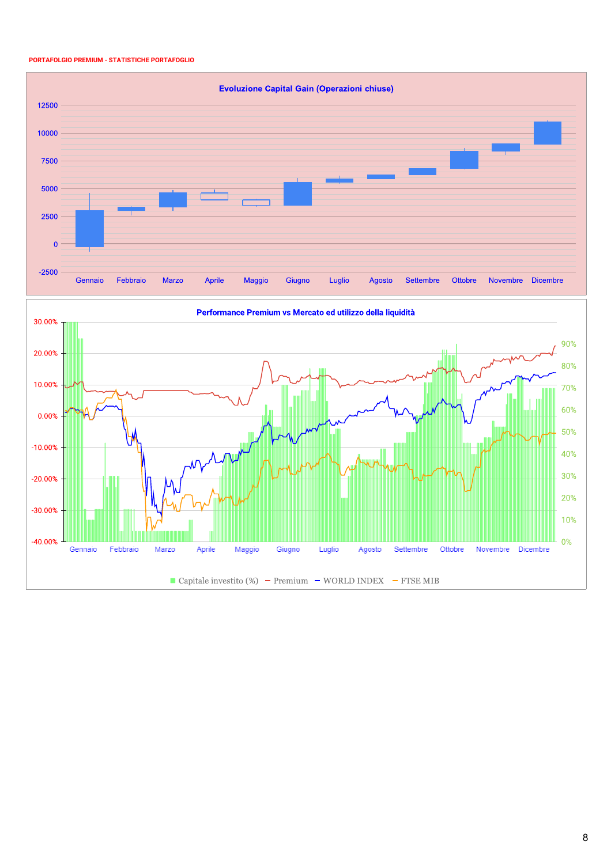### **PORTAFOLGIO PREMIUM - STATISTICHE PORTAFOGLIO**





Performance Premium vs Mercato ed utilizzo della liquidità